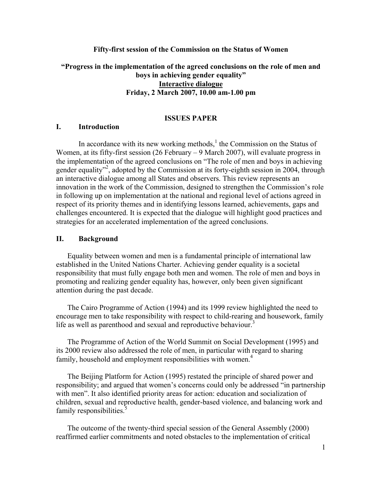# **Fifty-first session of the Commission on the Status of Women**

# **"Progress in the implementation of the agreed conclusions on the role of men and boys in achieving gender equality" Interactive dialogue Friday, 2 March 2007, 10.00 am-1.00 pm**

### **ISSUES PAPER**

### **I. Introduction**

In accordance with its new working methods, $<sup>1</sup>$  the Commission on the Status of</sup> Women, at its fifty-first session (26 February – 9 March 2007), will evaluate progress in the implementation of the agreed conclusions on "The role of men and boys in achieving gender equality<sup>32</sup>, adopted by the Commission at its forty-eighth session in 2004, through an interactive dialogue among all States and observers. This review represents an innovation in the work of the Commission, designed to strengthen the Commission's role in following up on implementation at the national and regional level of actions agreed in respect of its priority themes and in identifying lessons learned, achievements, gaps and challenges encountered. It is expected that the dialogue will highlight good practices and strategies for an accelerated implementation of the agreed conclusions.

#### **II. Background**

Equality between women and men is a fundamental principle of international law established in the United Nations Charter. Achieving gender equality is a societal responsibility that must fully engage both men and women. The role of men and boys in promoting and realizing gender equality has, however, only been given significant attention during the past decade.

 The Cairo Programme of Action (1994) and its 1999 review highlighted the need to encourage men to take responsibility with respect to child-rearing and housework, family life as well as parenthood and sexual and reproductive behaviour.<sup>3</sup>

The Programme of Action of the World Summit on Social Development (1995) and its 2000 review also addressed the role of men, in particular with regard to sharing family, household and employment responsibilities with women.<sup>4</sup>

 The Beijing Platform for Action (1995) restated the principle of shared power and responsibility; and argued that women's concerns could only be addressed "in partnership with men". It also identified priority areas for action: education and socialization of children, sexual and reproductive health, gender-based violence, and balancing work and family responsibilities.<sup>5</sup>

The outcome of the twenty-third special session of the General Assembly (2000) reaffirmed earlier commitments and noted obstacles to the implementation of critical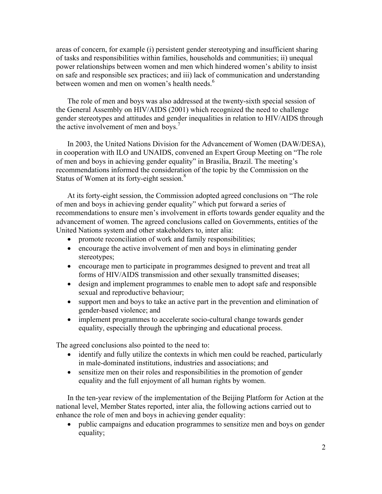areas of concern, for example (i) persistent gender stereotyping and insufficient sharing of tasks and responsibilities within families, households and communities; ii) unequal power relationships between women and men which hindered women's ability to insist on safe and responsible sex practices; and iii) lack of communication and understanding between women and men on women's health needs.<sup>6</sup>

The role of men and boys was also addressed at the twenty-sixth special session of the General Assembly on HIV/AIDS (2001) which recognized the need to challenge gender stereotypes and attitudes and gender inequalities in relation to HIV/AIDS through the active involvement of men and boys.<sup>7</sup>

 In 2003, the United Nations Division for the Advancement of Women (DAW/DESA), in cooperation with ILO and UNAIDS, convened an Expert Group Meeting on "The role of men and boys in achieving gender equality" in Brasilia, Brazil. The meeting's recommendations informed the consideration of the topic by the Commission on the Status of Women at its forty-eight session.<sup>8</sup>

 At its forty-eight session, the Commission adopted agreed conclusions on "The role of men and boys in achieving gender equality" which put forward a series of recommendations to ensure men's involvement in efforts towards gender equality and the advancement of women. The agreed conclusions called on Governments, entities of the United Nations system and other stakeholders to, inter alia:

- promote reconciliation of work and family responsibilities;
- encourage the active involvement of men and boys in eliminating gender stereotypes;
- encourage men to participate in programmes designed to prevent and treat all forms of HIV/AIDS transmission and other sexually transmitted diseases;
- design and implement programmes to enable men to adopt safe and responsible sexual and reproductive behaviour;
- support men and boys to take an active part in the prevention and elimination of gender-based violence; and
- implement programmes to accelerate socio-cultural change towards gender equality, especially through the upbringing and educational process.

The agreed conclusions also pointed to the need to:

- identify and fully utilize the contexts in which men could be reached, particularly in male-dominated institutions, industries and associations; and
- sensitize men on their roles and responsibilities in the promotion of gender equality and the full enjoyment of all human rights by women.

In the ten-year review of the implementation of the Beijing Platform for Action at the national level, Member States reported, inter alia, the following actions carried out to enhance the role of men and boys in achieving gender equality:

• public campaigns and education programmes to sensitize men and boys on gender equality;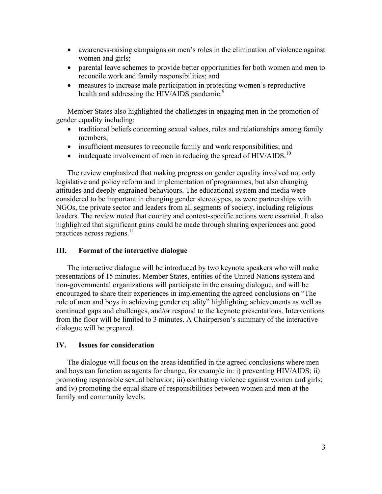- awareness-raising campaigns on men's roles in the elimination of violence against women and girls;
- parental leave schemes to provide better opportunities for both women and men to reconcile work and family responsibilities; and
- measures to increase male participation in protecting women's reproductive health and addressing the HIV/AIDS pandemic.<sup>9</sup>

Member States also highlighted the challenges in engaging men in the promotion of gender equality including:

- traditional beliefs concerning sexual values, roles and relationships among family members;
- insufficient measures to reconcile family and work responsibilities; and
- inadequate involvement of men in reducing the spread of  $HIV/AIDS$ <sup>10</sup>

The review emphasized that making progress on gender equality involved not only legislative and policy reform and implementation of programmes, but also changing attitudes and deeply engrained behaviours. The educational system and media were considered to be important in changing gender stereotypes, as were partnerships with NGOs, the private sector and leaders from all segments of society, including religious leaders. The review noted that country and context-specific actions were essential. It also highlighted that significant gains could be made through sharing experiences and good practices across regions. $^{11}$ 

# **III. Format of the interactive dialogue**

 The interactive dialogue will be introduced by two keynote speakers who will make presentations of 15 minutes. Member States, entities of the United Nations system and non-governmental organizations will participate in the ensuing dialogue, and will be encouraged to share their experiences in implementing the agreed conclusions on "The role of men and boys in achieving gender equality" highlighting achievements as well as continued gaps and challenges, and/or respond to the keynote presentations. Interventions from the floor will be limited to 3 minutes. A Chairperson's summary of the interactive dialogue will be prepared.

#### **IV. Issues for consideration**

 The dialogue will focus on the areas identified in the agreed conclusions where men and boys can function as agents for change, for example in: i) preventing HIV/AIDS; ii) promoting responsible sexual behavior; iii) combating violence against women and girls; and iv) promoting the equal share of responsibilities between women and men at the family and community levels.